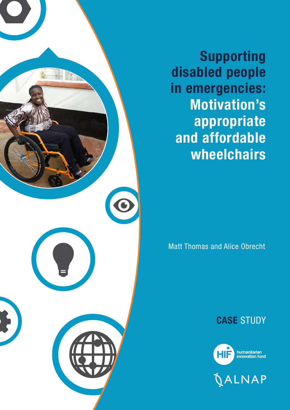

Supporting disabled people in emergencies: Motivation's appropriate and affordable wheelchairs

Matt Thomas and Alice Obrecht

# CASE STUDY



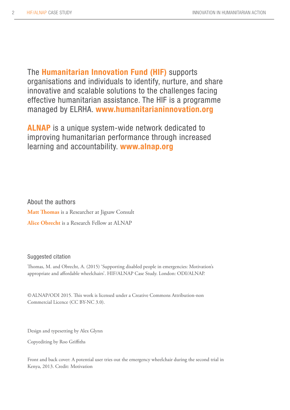The Humanitarian Innovation Fund (HIF) supports organisations and individuals to identify, nurture, and share innovative and scalable solutions to the challenges facing effective humanitarian assistance. The HIF is a programme managed by ELRHA. [www.humanitarianinnovation.org](http://www.humanitarianinnovation.org)

ALNAP is a unique system-wide network dedicated to improving humanitarian performance through increased learning and accountability. <www.alnap.org>

About the authors **Matt Thomas** is a Researcher at Jigsaw Consult **Alice Obrecht** is a Research Fellow at ALNAP

### Suggested citation

Thomas, M. and Obrecht, A. (2015) 'Supporting disabled people in emergencies: Motivation's appropriate and affordable wheelchairs'. HIF/ALNAP Case Study. London: ODI/ALNAP.

©ALNAP/ODI 2015. This work is licensed under a Creative Commons Attribution-non Commercial Licence (CC BY-NC 3.0).

Design and typesetting by Alex Glynn

Copyediting by Roo Griffiths

Front and back cover: A potential user tries out the emergency wheelchair during the second trial in Kenya, 2013. Credit: Motivation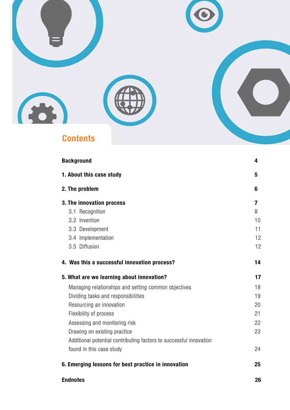

| <b>Background</b>                                                  | 4  |
|--------------------------------------------------------------------|----|
| 1. About this case study                                           | 5  |
| 2. The problem                                                     | 6  |
| 3. The innovation process                                          | 7  |
| 3.1 Recognition                                                    | 8  |
| 3.2 Invention                                                      | 10 |
| 3.3 Development                                                    | 11 |
| 3.4 Implementation                                                 | 12 |
| 3.5 Diffusion                                                      | 12 |
| 4. Was this a successful innovation process?                       | 14 |
| 5. What are we learning about innovation?                          | 17 |
| Managing relationships and setting common objectives               | 18 |
| Dividing tasks and responsibilities                                | 19 |
| Resourcing an innovation                                           | 20 |
| Flexibility of process                                             | 21 |
| Assessing and monitoring risk                                      | 22 |
| Drawing on existing practice                                       | 23 |
| Additional potential contributing factors to successful innovation |    |
| found in this case study                                           | 24 |
| 6. Emerging lessons for best practice in innovation                | 25 |
| <b>Endnotes</b>                                                    | 26 |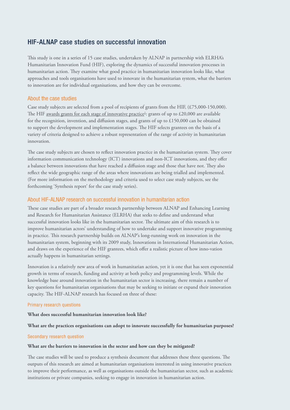# HIF-ALNAP case studies on successful innovation

This study is one in a series of 15 case studies, undertaken by ALNAP in partnership with ELRHA's Humanitarian Innovation Fund (HIF), exploring the dynamics of successful innovation processes in humanitarian action. They examine what good practice in humanitarian innovation looks like, what approaches and tools organisations have used to innovate in the humanitarian system, what the barriers to innovation are for individual organisations, and how they can be overcome.

#### About the case studies

Case study subjects are selected from a pool of recipients of grants from the HIF, (£75,000-150,000). The HIF <u>[awards grants for each stage of innovative practice](http://www.elrha.org/hif/funding/core-grants/)<sup>1</sup>: grants of up to £20,000 are available</u> for the recognition, invention, and diffusion stages, and grants of up to £150,000 can be obtained to support the development and implementation stages. The HIF selects grantees on the basis of a variety of criteria designed to achieve a robust representation of the range of activity in humanitarian innovation.

The case study subjects are chosen to reflect innovation practice in the humanitarian system. They cover information communication technology (ICT) innovations and non-ICT innovations, and they offer a balance between innovations that have reached a diffusion stage and those that have not. They also reflect the wide geographic range of the areas where innovations are being trialled and implemented. (For more information on the methodology and criteria used to select case study subjects, see the forthcoming 'Synthesis report' for the case study series).

#### About HIF-ALNAP research on successful innovation in humanitarian action

These case studies are part of a broader research partnership between ALNAP and Enhancing Learning and Research for Humanitarian Assistance (ELRHA) that seeks to define and understand what successful innovation looks like in the humanitarian sector. The ultimate aim of this research is to improve humanitarian actors' understanding of how to undertake and support innovative programming in practice. This research partnership builds on ALNAP's long-running work on innovation in the humanitarian system, beginning with its 2009 study, Innovations in International Humanitarian Action, and draws on the experience of the HIF grantees, which offer a realistic picture of how inno-vation actually happens in humanitarian settings.

Innovation is a relatively new area of work in humanitarian action, yet it is one that has seen exponential growth in terms of research, funding and activity at both policy and programming levels. While the knowledge base around innovation in the humanitarian sector is increasing, there remain a number of key questions for humanitarian organisations that may be seeking to initiate or expand their innovation capacity. The HIF-ALNAP research has focused on three of these:

#### Primary research questions

#### **What does successful humanitarian innovation look like?**

#### **What are the practices organisations can adopt to innovate successfully for humanitarian purposes?**

#### Secondary research question

#### **What are the barriers to innovation in the sector and how can they be mitigated?**

The case studies will be used to produce a synthesis document that addresses these three questions. The outputs of this research are aimed at humanitarian organisations interested in using innovative practices to improve their performance, as well as organisations outside the humanitarian sector, such as academic institutions or private companies, seeking to engage in innovation in humanitarian action.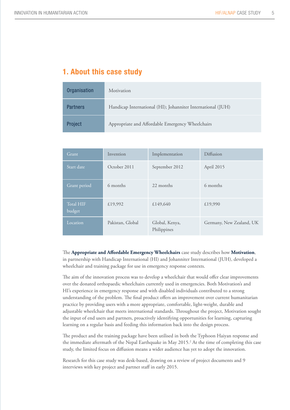# 1. About this case study

| Organisation    | Motivation                                                  |
|-----------------|-------------------------------------------------------------|
| <b>Partners</b> | Handicap International (HI); Johanniter International (JUH) |
| Project         | Appropriate and Affordable Emergency Wheelchairs            |

| Grant                      | Invention        | Implementation                | Diffusion                |  |
|----------------------------|------------------|-------------------------------|--------------------------|--|
| Start date                 | October 2011     | September 2012                | April 2015               |  |
| Grant period               | 6 months         | 22 months                     | 6 months                 |  |
| <b>Total HIF</b><br>budget | £19,992          | £149,640                      | £19,990                  |  |
| Location                   | Pakistan, Global | Global, Kenya,<br>Philippines | Germany, New Zealand, UK |  |

The **Appropriate and Affordable Emergency Wheelchairs** case study describes how **Motivation**, in partnership with Handicap International (HI) and Johanniter International (JUH), developed a wheelchair and training package for use in emergency response contexts.

The aim of the innovation process was to develop a wheelchair that would offer clear improvements over the donated orthopaedic wheelchairs currently used in emergencies. Both Motivation's and HI's experience in emergency response and with disabled individuals contributed to a strong understanding of the problem. The final product offers an improvement over current humanitarian practice by providing users with a more appropriate, comfortable, light-weight, durable and adjustable wheelchair that meets international standards. Throughout the project, Motivation sought the input of end users and partners, proactively identifying opportunities for learning, capturing learning on a regular basis and feeding this information back into the design process.

The product and the training package have been utilised in both the Typhoon Haiyan response and the immediate aftermath of the Nepal Earthquake in May 2015.<sup>2</sup> At the time of completing this case study, the limited focus on diffusion means a wider audience has yet to adopt the innovation.

Research for this case study was desk-based, drawing on a review of project documents and 9 interviews with key project and partner staff in early 2015.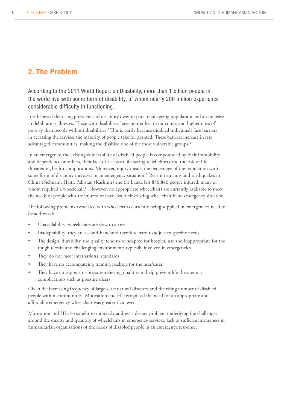# 2. The Problem

According to the 2011 World Report on Disability, more than 1 billion people in the world live with some form of disability, of whom nearly 200 million experience considerable difficulty in functioning.

It is believed the rising prevalence of disability owes in part to an ageing population and an increase in debilitating illnesses. Those with disabilities have poorer health outcomes and higher rates of poverty than people without disabilities.<sup>3</sup> This is partly because disabled individuals face barriers in accessing the services the majority of people take for granted. These barriers increase in less advantaged communities, making the disabled one of the most vulnerable groups.<sup>4</sup>

In an emergency, the existing vulnerability of disabled people is compounded by their immobility and dependence on others, their lack of access to life-saving relief efforts and the risk of lifethreatening health complications. Moreover, injury means the percentage of the population with some form of disability increases in an emergency situation.<sup>5</sup> Recent tsunamis and earthquakes in China (Sichuan), Haiti, Pakistan (Kashmir) and Sri Lanka left 886,846 people injured, many of whom required a wheelchair.<sup>6</sup> However, no appropriate wheelchairs are currently available to meet the needs of people who are injured or have lost their existing wheelchair in an emergency situation.

The following problems associated with wheelchairs currently being supplied in emergencies need to be addressed:

- Unavailability: wheelchairs are slow to arrive
- Inadaptability: they are second-hand and therefore hard to adjust to specific needs
- The design, durability and quality tend to be adapted for hospital use and inappropriate for the rough terrain and challenging environments typically involved in emergencies
- They do not meet international standards
- They have no accompanying training package for the user/carer
- They have no support or pressure-relieving qualities to help prevent life-threatening complications such as pressure ulcers

Given the increasing frequency of large-scale natural disasters and the rising number of disabled people within communities, Motivation and HI recognised the need for an appropriate and affordable emergency wheelchair was greater than ever.

Motivation and HI also sought to indirectly address a deeper problem underlying the challenges around the quality and quantity of wheelchairs in emergency services: lack of sufficient awareness in humanitarian organisations of the needs of disabled people in an emergency response.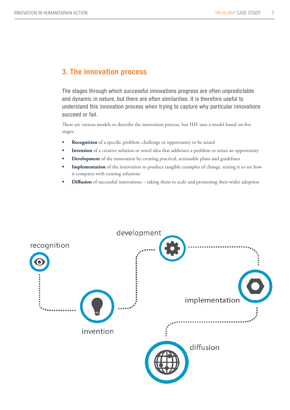# 3. The innovation process

The stages through which successful innovations progress are often unpredictable and dynamic in nature, but there are often similarities. It is therefore useful to understand this innovation process when trying to capture why particular innovations succeed or fail.

There are various models to describe the innovation process, but HIF uses a model based on five stages:

- **Recognition** of a specific problem, challenge or opportunity to be seized
- **Invention** of a creative solution or novel idea that addresses a problem or seizes an opportunity
- **Development** of the innovation by creating practical, actionable plans and guidelines
- **Implementation** of the innovation to produce tangible examples of change, testing it to see how it compares with existing solutions
- **Diffusion** of successful innovations taking them to scale and promoting their wider adoption

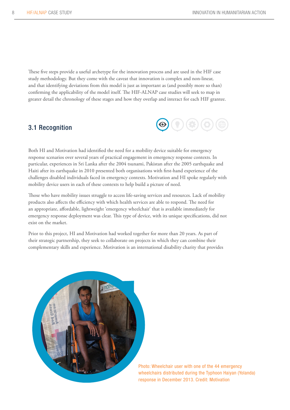These five steps provide a useful archetype for the innovation process and are used in the HIF case study methodology. But they come with the caveat that innovation is complex and non-linear, and that identifying deviations from this model is just as important as (and possibly more so than) confirming the applicability of the model itself. The HIF-ALNAP case studies will seek to map in greater detail the chronology of these stages and how they overlap and interact for each HIF grantee.

# 3.1 Recognition



Both HI and Motivation had identified the need for a mobility device suitable for emergency response scenarios over several years of practical engagement in emergency response contexts. In particular, experiences in Sri Lanka after the 2004 tsunami, Pakistan after the 2005 earthquake and Haiti after its earthquake in 2010 presented both organisations with first-hand experience of the challenges disabled individuals faced in emergency contexts. Motivation and HI spoke regularly with mobility device users in each of these contexts to help build a picture of need.

Those who have mobility issues struggle to access life-saving services and resources. Lack of mobility products also affects the efficiency with which health services are able to respond. The need for an appropriate, affordable, lightweight 'emergency wheelchair' that is available immediately for emergency response deployment was clear. This type of device, with its unique specifications, did not exist on the market.

Prior to this project, HI and Motivation had worked together for more than 20 years. As part of their strategic partnership, they seek to collaborate on projects in which they can combine their complementary skills and experience. Motivation is an international disability charity that provides



Photo: Wheelchair user with one of the 44 emergency wheelchairs distributed during the Typhoon Haiyan (Yolanda) response in December 2013. Credit: Motivation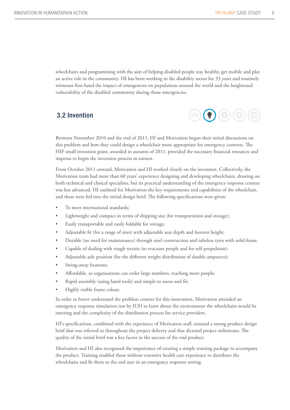wheelchairs and programming with the aim of helping disabled people stay healthy, get mobile and play an active role in the community. HI has been working in the disability sector for 33 years and routinely witnesses first-hand the impact of emergencies on populations around the world and the heightened vulnerability of the disabled community during those emergencies.

# 3.2 Invention



Between November 2010 and the end of 2011, HI and Motivation began their initial discussions on this problem and how they could design a wheelchair more appropriate for emergency contexts. The HIF small invention grant, awarded in autumn of 2011, provided the necessary financial resources and impetus to begin the invention process in earnest.

From October 2011 onward, Motivation and HI worked closely on the invention. Collectively, the Motivation team had more than 60 years' experience designing and developing wheelchairs, drawing on both technical and clinical specialists, but its practical understanding of the emergency response context was less advanced. HI outlined for Motivation the key requirements and capabilities of the wheelchair, and these were fed into the initial design brief. The following specifications were given:

- To meet international standards;
- Lightweight and compact in terms of shipping size (for transportation and storage);
- Easily transportable and easily foldable for storage;
- Adjustable fit (for a range of sizes) with adjustable seat depth and footrest height;
- Durable (no need for maintenance) through steel construction and tubeless tyres with solid foam;
- Capable of dealing with rough terrain (to evacuate people and for self-propulsion);
- Adjustable axle position (for the different weight distribution of double amputees);
- Swing-away footrests;
- Affordable, so organisations can order large numbers, reaching more people;
- Rapid assembly (using hand tools) and simple to assess and fit;
- Highly visible frame colour.

In order to better understand the problem context for this innovation, Motivation attended an emergency response simulation run by JUH to learn about the environment the wheelchairs would be entering and the complexity of the distribution process for service providers.

HI's specifications, combined with the experience of Motivation staff, ensured a strong product design brief that was referred to throughout the project delivery and that dictated project milestones. The quality of the initial brief was a key factor in the success of the end product.

Motivation and HI also recognised the importance of creating a simple training package to accompany the product. Training enabled those without extensive health care experience to distribute the wheelchairs and fit them to the end user in an emergency response setting.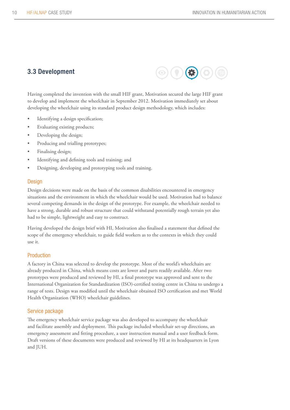# 3.3 Development



Having completed the invention with the small HIF grant, Motivation secured the large HIF grant to develop and implement the wheelchair in September 2012. Motivation immediately set about developing the wheelchair using its standard product design methodology, which includes:

- • Identifying a design specification;
- Evaluating existing products;
- Developing the design;
- Producing and trialling prototypes;
- Finalising design;
- Identifying and defining tools and training; and
- Designing, developing and prototyping tools and training.

#### **Design**

Design decisions were made on the basis of the common disabilities encountered in emergency situations and the environment in which the wheelchair would be used. Motivation had to balance several competing demands in the design of the prototype. For example, the wheelchair needed to have a strong, durable and robust structure that could withstand potentially rough terrain yet also had to be simple, lightweight and easy to construct.

Having developed the design brief with HI, Motivation also finalised a statement that defined the scope of the emergency wheelchair, to guide field workers as to the contexts in which they could use it.

#### Production

A factory in China was selected to develop the prototype. Most of the world's wheelchairs are already produced in China, which means costs are lower and parts readily available. After two prototypes were produced and reviewed by HI, a final prototype was approved and sent to the International Organization for Standardization (ISO)-certified testing centre in China to undergo a range of tests. Design was modified until the wheelchair obtained ISO certification and met World Health Organization (WHO) wheelchair guidelines.

### Service package

The emergency wheelchair service package was also developed to accompany the wheelchair and facilitate assembly and deployment. This package included wheelchair set-up directions, an emergency assessment and fitting procedure, a user instruction manual and a user feedback form. Draft versions of these documents were produced and reviewed by HI at its headquarters in Lyon and JUH.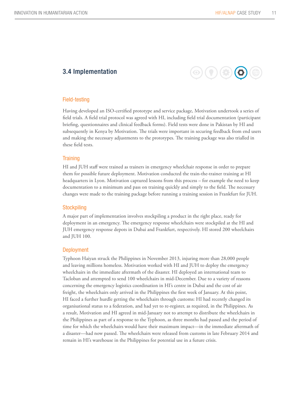# 3.4 Implementation



#### Field-testing

Having developed an ISO-certified prototype and service package, Motivation undertook a series of field trials. A field trial protocol was agreed with HI, including field trial documentation (participant briefing, questionnaires and clinical feedback forms). Field tests were done in Pakistan by HI and subsequently in Kenya by Motivation. The trials were important in securing feedback from end users and making the necessary adjustments to the prototypes. The training package was also trialled in these field tests.

#### **Training**

HI and JUH staff were trained as trainers in emergency wheelchair response in order to prepare them for possible future deployment. Motivation conducted the train-the-trainer training at HI headquarters in Lyon. Motivation captured lessons from this process – for example the need to keep documentation to a minimum and pass on training quickly and simply to the field. The necessary changes were made to the training package before running a training session in Frankfurt for JUH.

#### **Stockpiling**

A major part of implementation involves stockpiling a product in the right place, ready for deployment in an emergency. The emergency response wheelchairs were stockpiled at the HI and JUH emergency response depots in Dubai and Frankfurt, respectively. HI stored 200 wheelchairs and JUH 100.

#### **Deployment**

Typhoon Haiyan struck the Philippines in November 2013, injuring more than 28,000 people and leaving millions homeless. Motivation worked with HI and JUH to deploy the emergency wheelchairs in the immediate aftermath of the disaster. HI deployed an international team to Tacloban and attempted to send 100 wheelchairs in mid-December. Due to a variety of reasons concerning the emergency logistics coordination in HI's centre in Dubai and the cost of air freight, the wheelchairs only arrived in the Philippines the first week of January. At this point, HI faced a further hurdle getting the wheelchairs through customs: HI had recently changed its organisational status to a federation, and had yet to re-register, as required, in the Philippines. As a result, Motivation and HI agreed in mid-January not to attempt to distribute the wheelchairs in the Philippines as part of a response to the Typhoon, as three months had passed and the period of time for which the wheelchairs would have their maximum impact—in the immediate aftermath of a disaster—had now passed. The wheelchairs were released from customs in late February 2014 and remain in HI's warehouse in the Philippines for potential use in a future crisis.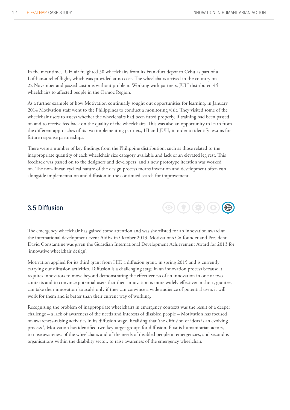In the meantime, JUH air freighted 50 wheelchairs from its Frankfurt depot to Cebu as part of a Lufthansa relief flight, which was provided at no cost. The wheelchairs arrived in the country on 22 November and passed customs without problem. Working with partners, JUH distributed 44 wheelchairs to affected people in the Ormoc Region.

As a further example of how Motivation continually sought out opportunities for learning, in January 2014 Motivation staff went to the Philippines to conduct a monitoring visit. They visited some of the wheelchair users to assess whether the wheelchairs had been fitted properly, if training had been passed on and to receive feedback on the quality of the wheelchairs. This was also an opportunity to learn from the different approaches of its two implementing partners, HI and JUH, in order to identify lessons for future response partnerships.

There were a number of key findings from the Philippine distribution, such as those related to the inappropriate quantity of each wheelchair size category available and lack of an elevated leg rest. This feedback was passed on to the designers and developers, and a new prototype iteration was worked on. The non-linear, cyclical nature of the design process means invention and development often run alongside implementation and diffusion in the continued search for improvement.

# 3.5 Diffusion



The emergency wheelchair has gained some attention and was shortlisted for an innovation award at the international development event AidEx in October 2013. Motivation's Co-founder and President David Constantine was given the Guardian International Development Achievement Award for 2013 for 'innovative wheelchair design'.

Motivation applied for its third grant from HIF, a diffusion grant, in spring 2015 and is currently carrying out diffusion activities. Diffusion is a challenging stage in an innovation process because it requires innovators to move beyond demonstrating the effectiveness of an innovation in one or two contexts and to convince potential users that their innovation is more widely effective: in short, grantees can take their innovation 'to scale' only if they can convince a wide audience of potential users it will work for them and is better than their current way of working.

Recognising the problem of inappropriate wheelchairs in emergency contexts was the result of a deeper challenge – a lack of awareness of the needs and interests of disabled people – Motivation has focused on awareness-raising activities in its diffusion stage. Realising that 'the diffusion of ideas is an evolving process'7 , Motivation has identified two key target groups for diffusion. First is humanitarian actors, to raise awareness of the wheelchairs and of the needs of disabled people in emergencies, and second is organisations within the disability sector, to raise awareness of the emergency wheelchair.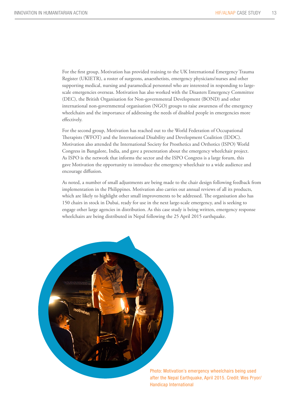For the first group, Motivation has provided training to the UK International Emergency Trauma Register (UKIETR), a roster of surgeons, anaesthetists, emergency physicians/nurses and other supporting medical, nursing and paramedical personnel who are interested in responding to largescale emergencies overseas. Motivation has also worked with the Disasters Emergency Committee (DEC), the British Organisation for Non-governmental Development (BOND) and other international non-governmental organisation (NGO) groups to raise awareness of the emergency wheelchairs and the importance of addressing the needs of disabled people in emergencies more effectively.

For the second group, Motivation has reached out to the World Federation of Occupational Therapists (WFOT) and the International Disability and Development Coalition (IDDC). Motivation also attended the International Society for Prosthetics and Orthotics (ISPO) World Congress in Bangalore, India, and gave a presentation about the emergency wheelchair project. As ISPO is the network that informs the sector and the ISPO Congress is a large forum, this gave Motivation the opportunity to introduce the emergency wheelchair to a wide audience and encourage diffusion.

As noted, a number of small adjustments are being made to the chair design following feedback from implementation in the Philippines. Motivation also carries out annual reviews of all its products, which are likely to highlight other small improvements to be addressed. The organisation also has 150 chairs in stock in Dubai, ready for use in the next large-scale emergency, and is seeking to engage other large agencies in distribution. As this case study is being written, emergency response wheelchairs are being distributed in Nepal following the 25 April 2015 earthquake.



Photo: Motivation's emergency wheelchairs being used after the Nepal Earthquake, April 2015. Credit: Wes Pryor/ Handicap International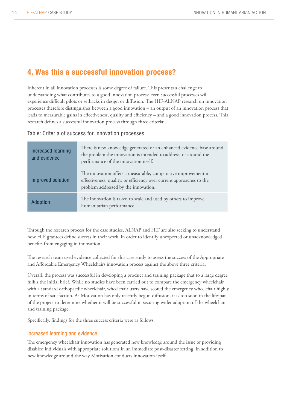# 4. Was this a successful innovation process?

Inherent in all innovation processes is some degree of failure. This presents a challenge to understanding what contributes to a good innovation process: even successful processes will experience difficult pilots or setbacks in design or diffusion. The HIF-ALNAP research on innovation processes therefore distinguishes between a good innovation – an output of an innovation process that leads to measurable gains in effectiveness, quality and efficiency – and a good innovation process. This research defines a successful innovation process through three criteria:

Table: Criteria of success for innovation processes

| <b>Increased learning</b><br>and evidence | There is new knowledge generated or an enhanced evidence base around<br>the problem the innovation is intended to address, or around the<br>performance of the innovation itself. |
|-------------------------------------------|-----------------------------------------------------------------------------------------------------------------------------------------------------------------------------------|
| Improved solution                         | The innovation offers a measurable, comparative improvement in<br>effectiveness, quality, or efficiency over current approaches to the<br>problem addressed by the innovation.    |
| Adoption                                  | The innovation is taken to scale and used by others to improve<br>humanitarian performance.                                                                                       |

Through the research process for the case studies, ALNAP and HIF are also seeking to understand how HIF grantees define success in their work, in order to identify unexpected or unacknowledged benefits from engaging in innovation.

The research team used evidence collected for this case study to assess the success of the Appropriate and Affordable Emergency Wheelchairs innovation process against the above three criteria.

Overall, the process was successful in developing a product and training package that to a large degree fulfils the initial brief. While no studies have been carried out to compare the emergency wheelchair with a standard orthopaedic wheelchair, wheelchair users have scored the emergency wheelchair highly in terms of satisfaction. As Motivation has only recently begun diffusion, it is too soon in the lifespan of the project to determine whether it will be successful in securing wider adoption of the wheelchair and training package.

Specifically, findings for the three success criteria were as follows:

### Increased learning and evidence

The emergency wheelchair innovation has generated new knowledge around the issue of providing disabled individuals with appropriate solutions in an immediate post-disaster setting, in addition to new knowledge around the way Motivation conducts innovation itself.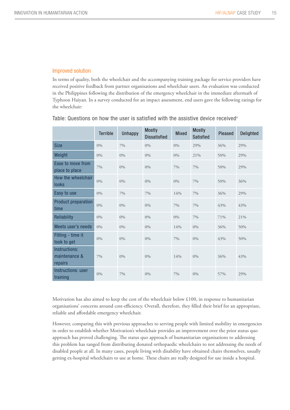### Improved solution

In terms of quality, both the wheelchair and the accompanying training package for service providers have received positive feedback from partner organisations and wheelchair users. An evaluation was conducted in the Philippines following the distribution of the emergency wheelchair in the immediate aftermath of Typhoon Haiyan. In a survey conducted for an impact assessment, end users gave the following ratings for the wheelchair:

|                                           | <b>Terrible</b> | <b>Unhappy</b> | <b>Mostly</b><br><b>Dissatisfied</b> | Mixed | <b>Mostly</b><br><b>Satisfied</b> | Pleased | Delighted |
|-------------------------------------------|-----------------|----------------|--------------------------------------|-------|-----------------------------------|---------|-----------|
| <b>Size</b>                               | $0\%$           | 7%             | $0\%$                                | $0\%$ | 29%                               | 36%     | 29%       |
| Weight                                    | $0\%$           | $0\%$          | $0\%$                                | $0\%$ | 21%                               | 50%     | 29%       |
| Ease to move from<br>place to place       | $7\%$           | $0\%$          | $0\%$                                | 7%    | 7%                                | 50%     | 29%       |
| How the wheelchair<br><b>looks</b>        | $0\%$           | $0\%$          | $0\%$                                | 0%    | 7%                                | 50%     | 36%       |
| Easy to use                               | $0\%$           | 7%             | 7%                                   | 14%   | 7%                                | 36%     | 29%       |
| <b>Product preparation</b><br>time        | $0\%$           | $0\%$          | $0\%$                                | 7%    | 7%                                | 43%     | 43%       |
| Reliability                               | $0\%$           | $0\%$          | $0\%$                                | $0\%$ | 7%                                | 71%     | 21%       |
| Meets user's needs                        | $0\%$           | $0\%$          | $0\%$                                | 14%   | $0\%$                             | 36%     | 50%       |
| Fitting - time it<br>took to get          | $0\%$           | $0\%$          | $0\%$                                | 7%    | $0\%$                             | 43%     | 50%       |
| Instructions:<br>maintenance &<br>repairs | 7%              | $0\%$          | $0\%$                                | 14%   | $0\%$                             | 36%     | 43%       |
| Instructions: user<br>training            | $0\%$           | 7%             | $0\%$                                | 7%    | $0\%$                             | 57%     | 29%       |

Table: Questions on how the user is satisfied with the assistive device received<sup>8</sup>

Motivation has also aimed to keep the cost of the wheelchair below  $£100$ , in response to humanitarian organisations' concerns around cost-efficiency. Overall, therefore, they filled their brief for an appropriate, reliable and affordable emergency wheelchair.

However, comparing this with previous approaches to serving people with limited mobility in emergencies in order to establish whether Motivation's wheelchair provides an improvement over the prior status quo approach has proved challenging. The status quo approach of humanitarian organisations to addressing this problem has ranged from distributing donated orthopaedic wheelchairs to not addressing the needs of disabled people at all. In many cases, people living with disability have obtained chairs themselves, usually getting ex-hospital wheelchairs to use at home. These chairs are really designed for use inside a hospital.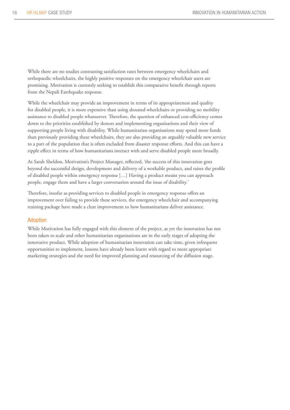While there are no studies contrasting satisfaction rates between emergency wheelchairs and orthopaedic wheelchairs, the highly positive responses on the emergency wheelchair users are promising. Motivation is currently seeking to establish this comparative benefit through reports from the Nepali Earthquake response.

While the wheelchair may provide an improvement in terms of its appropriateness and quality for disabled people, it is more expensive than using donated wheelchairs or providing no mobility assistance to disabled people whatsoever. Therefore, the question of enhanced cost-efficiency comes down to the priorities established by donors and implementing organisations and their view of supporting people living with disability. While humanitarian organisations may spend more funds than previously providing these wheelchairs, they are also providing an arguably valuable new service to a part of the population that is often excluded from disaster response efforts. And this can have a ripple effect in terms of how humanitarians interact with and serve disabled people more broadly.

As Sarah Sheldon, Motivation's Project Manager, reflected, 'the success of this innovation goes beyond the successful design, development and delivery of a workable product, and raises the profile of disabled people within emergency response […] Having a product means you can approach people, engage them and have a larger conversation around the issue of disability.'

Therefore, insofar as providing services to disabled people in emergency response offers an improvement over failing to provide these services, the emergency wheelchair and accompanying training package have made a clear improvement to how humanitarians deliver assistance.

#### Adoption

While Motivation has fully engaged with this element of the project, as yet the innovation has not been taken to scale and other humanitarian organisations are in the early stages of adopting the innovative product. While adoption of humanitarian innovation can take time, given infrequent opportunities to implement, lessons have already been learnt with regard to more appropriate marketing strategies and the need for improved planning and resourcing of the diffusion stage.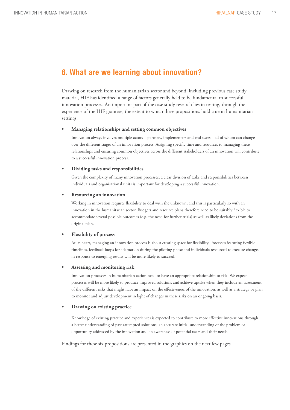# 6. What are we learning about innovation?

Drawing on research from the humanitarian sector and beyond, including previous case study material, HIF has identified a range of factors generally held to be fundamental to successful innovation processes. An important part of the case study research lies in testing, through the experience of the HIF grantees, the extent to which these propositions hold true in humanitarian settings.

#### **• Managing relationships and setting common objectives**

Innovation always involves multiple actors – partners, implementers and end users – all of whom can change over the different stages of an innovation process. Assigning specific time and resources to managing these relationships and ensuring common objectives across the different stakeholders of an innovation will contribute to a successful innovation process.

#### **• Dividing tasks and responsibilities**

Given the complexity of many innovation processes, a clear division of tasks and responsibilities between individuals and organisational units is important for developing a successful innovation.

#### **Resourcing an innovation**

Working in innovation requires flexibility to deal with the unknown, and this is particularly so with an innovation in the humanitarian sector. Budgets and resource plans therefore need to be suitably flexible to accommodate several possible outcomes (e.g. the need for further trials) as well as likely deviations from the original plan.

#### **Flexibility of process**

At its heart, managing an innovation process is about creating space for flexibility. Processes featuring flexible timelines, feedback loops for adaptation during the piloting phase and individuals resourced to execute changes in response to emerging results will be more likely to succeed.

#### **• Assessing and monitoring risk**

Innovation processes in humanitarian action need to have an appropriate relationship to risk. We expect processes will be more likely to produce improved solutions and achieve uptake when they include an assessment of the different risks that might have an impact on the effectiveness of the innovation, as well as a strategy or plan to monitor and adjust development in light of changes in these risks on an ongoing basis.

#### **Drawing on existing practice**

Knowledge of existing practice and experiences is expected to contribute to more effective innovations through a better understanding of past attempted solutions, an accurate initial understanding of the problem or opportunity addressed by the innovation and an awareness of potential users and their needs.

Findings for these six propositions are presented in the graphics on the next few pages.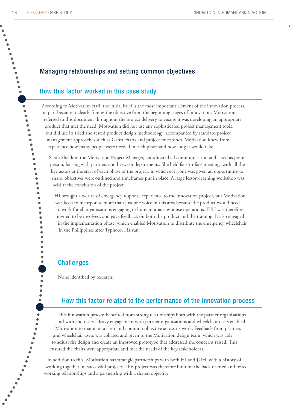.<br>.<br>.<br>.<br>.<br>.

 $\bullet$  $\bullet$ 

 $\bullet$ 

 $\bullet$ 

8  $\bullet$ 

# Managing relationships and setting common objectives

# How this factor worked in this case study

According to Motivation staff, the initial brief is the most important element of the innovation process, in part because it clearly frames the objective from the beginning stages of innovation. Motivation referred to this document throughout the project delivery to ensure it was developing an appropriate product that met the need. Motivation did not use any sophisticated project management tools, but did use its tried and tested product design methodology, accompanied by standard project management approaches such as Gantt charts and project milestones. Motivation knew from experience how many people were needed in each phase and how long it would take.

Sarah Sheldon, the Motivation Project Manager, coordinated all communication and acted as point person, liaising with partners and between departments. She held face-to-face meetings with all the key actors at the start of each phase of the project, in which everyone was given an opportunity to share, objectives were outlined and timeframes put in place. A large lesson-learning workshop was held at the conclusion of the project.

HI brought a wealth of emergency response experience to the innovation project, but Motivation was keen to incorporate more than just one voice in this area because the product would need to work for all organisations engaging in humanitarian response operations. JUH was therefore invited to be involved, and gave feedback on both the product and the training. It also engaged in the implementation phase, which enabled Motivation to distribute the emergency wheelchair in the Philippines after Typhoon Haiyan.

### Challenges

None identified by research.

# How this factor related to the performance of the innovation How this factor related to the performance of the innovation process

This innovation process benefited from strong relationships both with the partner organisations and with end users. Heavy engagement with partner organisations and wheelchair users enabled Motivation to maintain a clear and common objective across its work. Feedback from partners and wheelchair users was collated and given to the Motivation design team, which was able to adjust the design and create an improved prototype that addressed the concerns raised. This ensured the chairs were appropriate and met the needs of the key stakeholders.

In addition to this, Motivation has strategic partnerships with both HI and JUH, with a history of working together on successful projects. This project was therefore built on the back of tried and tested working relationships and a partnership with a shared objective.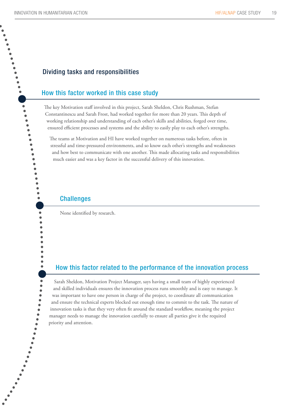$\bullet$ 

# Dividing tasks and responsibilities

# How this factor worked in this case study

The key Motivation staff involved in this project, Sarah Sheldon, Chris Rushman, Stefan Constantinescu and Sarah Frost, had worked together for more than 20 years. This depth of working relationship and understanding of each other's skills and abilities, forged over time, ensured efficient processes and systems and the ability to easily play to each other's strengths.

The teams at Motivation and HI have worked together on numerous tasks before, often in stressful and time-pressured environments, and so know each other's strengths and weaknesses and how best to communicate with one another. This made allocating tasks and responsibilities much easier and was a key factor in the successful delivery of this innovation.

### **Challenges**

None identified by research.

# How this factor related to the performance of the innovation How this factor related to the performance of the innovation process

Sarah Sheldon, Motivation Project Manager, says having a small team of highly experienced and skilled individuals ensures the innovation process runs smoothly and is easy to manage. It was important to have one person in charge of the project, to coordinate all communication and ensure the technical experts blocked out enough time to commit to the task. The nature of innovation tasks is that they very often fit around the standard workflow, meaning the project manager needs to manage the innovation carefully to ensure all parties give it the required priority and attention.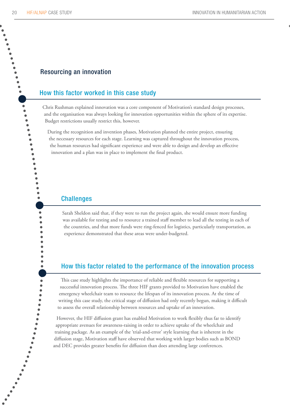**.**<br>.........

 $\bullet$ 

 $\bullet$ 

 $\bullet$ 

### Resourcing an innovation

# How this factor worked in this case study

Chris Rushman explained innovation was a core component of Motivation's standard design processes, and the organisation was always looking for innovation opportunities within the sphere of its expertise. Budget restrictions usually restrict this, however.

During the recognition and invention phases, Motivation planned the entire project, ensuring the necessary resources for each stage. Learning was captured throughout the innovation process, the human resources had significant experience and were able to design and develop an effective innovation and a plan was in place to implement the final product.

### **Challenges**

Sarah Sheldon said that, if they were to run the project again, she would ensure more funding was available for testing and to resource a trained staff member to lead all the testing in each of the countries, and that more funds were ring-fenced for logistics, particularly transportation, as experience demonstrated that these areas were under-budgeted.

### How this factor related to the performance of the innovation process

This case study highlights the importance of reliable and flexible resources for supporting a successful innovation process. The three HIF grants provided to Motivation have enabled the emergency wheelchair team to resource the lifespan of its innovation process. At the time of writing this case study, the critical stage of diffusion had only recently begun, making it difficult to assess the overall relationship between resources and uptake of an innovation.

However, the HIF diffusion grant has enabled Motivation to work flexibly thus far to identify appropriate avenues for awareness-raising in order to achieve uptake of the wheelchair and training package. As an example of the 'trial-and-error' style learning that is inherent in the diffusion stage, Motivation staff have observed that working with larger bodies such as BOND and DEC provides greater benefits for diffusion than does attending large conferences.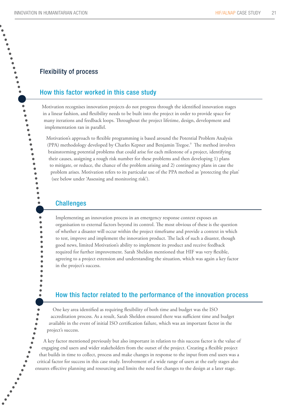.........

 $\ddot{\bullet}$ 

8  $\bullet$  $\ddot{\bullet}$ 

 $\bullet$ 

# Flexibility of process

# How this factor worked in this case study

Motivation recognises innovation projects do not progress through the identified innovation stages in a linear fashion, and flexibility needs to be built into the project in order to provide space for many iterations and feedback loops. Throughout the project lifetime, design, development and implementation ran in parallel.

Motivation's approach to flexible programming is based around the Potential Problem Analysis (PPA) methodology developed by Charles Kepner and Benjamin Tregoe.<sup>9</sup> The method involves brainstorming potential problems that could arise for each milestone of a project, identifying their causes, assigning a rough risk number for these problems and then developing 1) plans to mitigate, or reduce, the chance of the problem arising and 2) contingency plans in case the problem arises. Motivation refers to its particular use of the PPA method as 'protecting the plan' (see below under 'Assessing and monitoring risk').

### **Challenges**

Implementing an innovation process in an emergency response context exposes an organisation to external factors beyond its control. The most obvious of these is the question of whether a disaster will occur within the project timeframe and provide a context in which to test, improve and implement the innovation product. The lack of such a disaster, though good news, limited Motivation's ability to implement its product and receive feedback required for further improvement. Sarah Sheldon mentioned that HIF was very flexible, agreeing to a project extension and understanding the situation, which was again a key factor in the project's success.

# How this factor related to the performance of the innovation How this factor related to the performance of the innovation process

One key area identified as requiring flexibility of both time and budget was the ISO accreditation process. As a result, Sarah Sheldon ensured there was sufficient time and budget available in the event of initial ISO certification failure, which was an important factor in the project's success.

A key factor mentioned previously but also important in relation to this success factor is the value of engaging end users and wider stakeholders from the outset of the project. Creating a flexible project that builds in time to collect, process and make changes in response to the input from end users was a critical factor for success in this case study. Involvement of a wide range of users at the early stages also ensures effective planning and resourcing and limits the need for changes to the design at a later stage.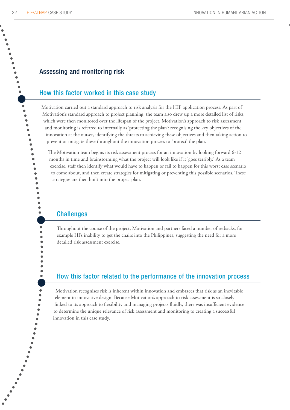.........

 $\bullet$ 

 $\bullet$ 

8

# Assessing and monitoring risk

# How this factor worked in this case study

Motivation carried out a standard approach to risk analysis for the HIF application process. As part of Motivation's standard approach to project planning, the team also drew up a more detailed list of risks, which were then monitored over the lifespan of the project. Motivation's approach to risk assessment and monitoring is referred to internally as 'protecting the plan': recognising the key objectives of the innovation at the outset, identifying the threats to achieving these objectives and then taking action to prevent or mitigate these throughout the innovation process to 'protect' the plan.

The Motivation team begins its risk assessment process for an innovation by looking forward 6-12 months in time and brainstorming what the project will look like if it 'goes terribly.' As a team exercise, staff then identify what would have to happen or fail to happen for this worst case scenario to come about, and then create strategies for mitigating or preventing this possible scenarios. These strategies are then built into the project plan.

### **Challenges**

Throughout the course of the project, Motivation and partners faced a number of setbacks, for example HI's inability to get the chairs into the Philippines, suggesting the need for a more detailed risk assessment exercise.

# How this factor related to the performance of the innovation How this factor related to the performance of the innovation process

Motivation recognises risk is inherent within innovation and embraces that risk as an inevitable element in innovative design. Because Motivation's approach to risk assessment is so closely linked to its approach to flexibility and managing projects fluidly, there was insufficient evidence to determine the unique relevance of risk assessment and monitoring to creating a successful innovation in this case study.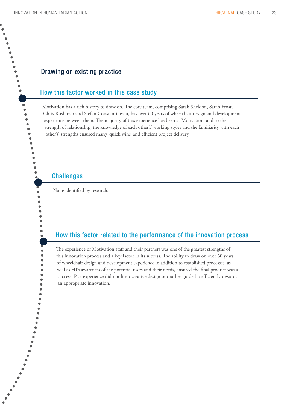**.**<br>...........

 $\bullet$ 8  $\bullet$ 

 $\bullet$  $\bullet$  $\bullet$  $\bullet$ 

### Drawing on existing practice

### How this factor worked in this case study

Motivation has a rich history to draw on. The core team, comprising Sarah Sheldon, Sarah Frost, Chris Rushman and Stefan Constantinescu, has over 60 years of wheelchair design and development experience between them. The majority of this experience has been at Motivation, and so the strength of relationship, the knowledge of each other's' working styles and the familiarity with each other's' strengths ensured many 'quick wins' and efficient project delivery.

# **Challenges**

None identified by research.

# How this factor related to the performance of the innovation How this factor related to the performance of the innovation process

The experience of Motivation staff and their partners was one of the greatest strengths of this innovation process and a key factor in its success. The ability to draw on over 60 years of wheelchair design and development experience in addition to established processes, as well as HI's awareness of the potential users and their needs, ensured the final product was a success. Past experience did not limit creative design but rather guided it efficiently towards an appropriate innovation.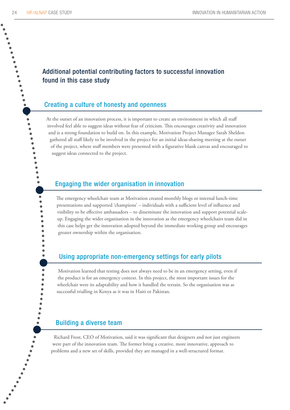$\bullet$  $\bullet$ 

> $\bullet$  $\bullet$ 8

 $\bullet$  $\bullet$  $\bullet$ 

# Additional potential contributing factors to successful innovation found in this case study

# Creating a culture of honesty and openness

At the outset of an innovation process, it is important to create an environment in which all staff involved feel able to suggest ideas without fear of criticism. This encourages creativity and innovation and is a strong foundation to build on. In this example, Motivation Project Manager Sarah Sheldon gathered all staff likely to be involved in the project for an initial ideas-sharing meeting at the outset of the project, where staff members were presented with a figurative blank canvas and encouraged to suggest ideas connected to the project.

# Engaging the wider organisation in innovation

The emergency wheelchair team at Motivation created monthly blogs or internal lunch-time presentations and supported 'champions' – individuals with a sufficient level of influence and visibility to be effective ambassadors – to disseminate the innovation and support potential scaleup. Engaging the wider organisation in the innovation as the emergency wheelchairs team did in this case helps get the innovation adopted beyond the immediate working group and encourages greater ownership within the organisation.

# Using appropriate non-emergency settings for early pilots

Motivation learned that testing does not always need to be in an emergency setting, even if the product is for an emergency context. In this project, the most important issues for the wheelchair were its adaptability and how it handled the terrain. So the organisation was as successful trialling in Kenya as it was in Haiti or Pakistan.

### Building a diverse team

Richard Frost, CEO of Motivation, said it was significant that designers and not just engineers were part of the innovation team. The former bring a creative, more innovative, approach to problems and a new set of skills, provided they are managed in a well-structured format.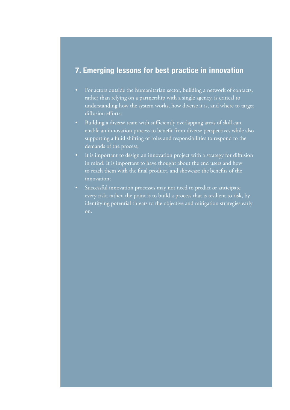# 7. Emerging lessons for best practice in innovation

- For actors outside the humanitarian sector, building a network of contacts, rather than relying on a partnership with a single agency, is critical to understanding how the system works, how diverse it is, and where to target diffusion efforts;
- • Building a diverse team with sufficiently overlapping areas of skill can enable an innovation process to benefit from diverse perspectives while also supporting a fluid shifting of roles and responsibilities to respond to the demands of the process;
- It is important to design an innovation project with a strategy for diffusion in mind. It is important to have thought about the end users and how to reach them with the final product, and showcase the benefits of the innovation;
- • Successful innovation processes may not need to predict or anticipate every risk; rather, the point is to build a process that is resilient to risk, by identifying potential threats to the objective and mitigation strategies early on.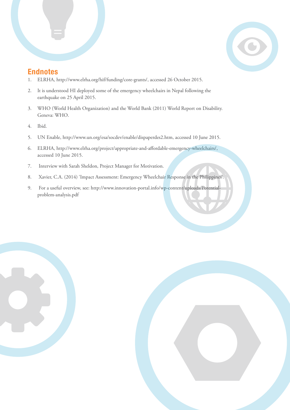

# **Endnotes**

- 1. ELRHA, http://www.elrha.org/hif/funding/core-grants/, accessed 26 October 2015.
- 2. It is understood HI deployed some of the emergency wheelchairs in Nepal following the earthquake on 25 April 2015.
- 3. WHO (World Health Organization) and the World Bank (2011) World Report on Disability. Geneva: WHO.
- 4. Ibid.
- 5. UN Enable, <http://www.un.org/esa/socdev/enable/dispaperdes2.htm>, accessed 10 June 2015.
- 6. ELRHA, <http://www.elrha.org/project/appropriate-and-affordable-emergency-wheelchairs/>, accessed 10 June 2015.
- 7. Interview with Sarah Sheldon, Project Manager for Motivation.
- 8. Xavier, C.A. (2014) 'Impact Assessment: Emergency Wheelchair Response in the Philippines'.
- 9. For a useful overview, see: [http://www.innovation-portal.info/wp-content/uploads/Potential](http://www.innovation-portal.info/wp-content/uploads/Potential-problem-analysis.pdf)[problem-analysis.pdf](http://www.innovation-portal.info/wp-content/uploads/Potential-problem-analysis.pdf)